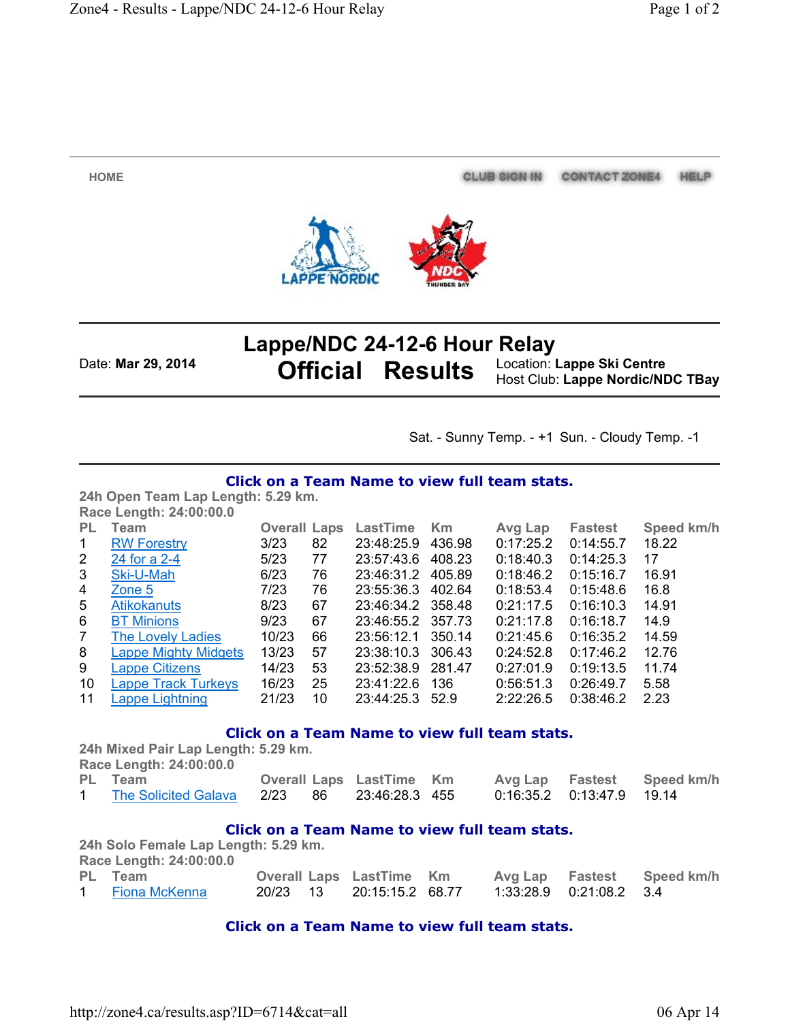**HOME**

**Lappe/NDC 24-12-6 Hour Relay** Date: **Mar 29, 2014 Official Results** Location: **Lappe Ski Centre**

Host Club: **Lappe Nordic/NDC TBay**

CLUB SIGN IN CONTACT ZONE4 HELP

Sat. - Sunny Temp. - +1 Sun. - Cloudy Temp. -1

### **Click on a Team Name to view full team stats.**

**24h Open Team Lap Length: 5.29 km. Race Length: 24:00:00.0**

| PL             | Team                        | <b>Overall Laps</b> |    | LastTime          | Km     | Avg Lap   | <b>Fastest</b> | Speed km/h |
|----------------|-----------------------------|---------------------|----|-------------------|--------|-----------|----------------|------------|
| 1              | <b>RW Forestry</b>          | 3/23                | 82 | 23:48:25.9        | 436.98 | 0:17:25.2 | 0:14:55.7      | 18.22      |
| $\mathbf{2}$   | 24 for a 2-4                | 5/23                | 77 | 23:57:43.6        | 408.23 | 0:18:40.3 | 0:14:25.3      | 17         |
| 3              | Ski-U-Mah                   | 6/23                | 76 | 23:46:31.2        | 405.89 | 0:18:46.2 | 0:15:16.7      | 16.91      |
| 4              | Zone 5                      | 7/23                | 76 | 23:55:36.3        | 402.64 | 0:18:53.4 | 0:15:48.6      | 16.8       |
| 5              | <b>Atikokanuts</b>          | 8/23                | 67 | 23:46:34.2 358.48 |        | 0:21:17.5 | 0:16:10.3      | 14.91      |
| 6              | <b>BT Minions</b>           | 9/23                | 67 | 23:46:55.2 357.73 |        | 0:21:17.8 | 0:16:18.7      | 14.9       |
| $\overline{7}$ | <b>The Lovely Ladies</b>    | 10/23               | 66 | 23:56:12.1        | 350.14 | 0:21:45.6 | 0:16:35.2      | 14.59      |
| 8              | <b>Lappe Mighty Midgets</b> | 13/23               | 57 | 23:38:10.3        | 306.43 | 0:24:52.8 | 0:17:46.2      | 12.76      |
| 9              | <b>Lappe Citizens</b>       | 14/23               | 53 | 23:52:38.9        | 281.47 | 0:27:01.9 | 0:19:13.5      | 11.74      |
| 10             | <b>Lappe Track Turkeys</b>  | 16/23               | 25 | 23:41:22.6        | 136    | 0:56:51.3 | 0:26:49.7      | 5.58       |
| 11             | Lappe Lightning             | 21/23               | 10 | 23:44:25.3        | 52.9   | 2:22:26.5 | 0.38:46.2      | 2.23       |

## **Click on a Team Name to view full team stats.**

**24h Mixed Pair Lap Length: 5.29 km. Race Length: 24:00:00.0**

| PL Team              |  | <b>Overall Laps LastTime Km</b> |  | Avg Lap Fastest Speed km/h |
|----------------------|--|---------------------------------|--|----------------------------|
| The Solicited Galava |  | 2/23 86 23:46:28.3 455          |  |                            |

### **Click on a Team Name to view full team stats.**

**24h Solo Female Lap Length: 5.29 km. Race Length: 24:00:00.0 PL Team Overall Laps LastTime Km Avg Lap Fastest Speed km/h** 1 Fiona McKenna 20/23 13 20:15:15.2 68.77 1:33:28.9 0:21:08.2 3.4

### **Click on a Team Name to view full team stats.**